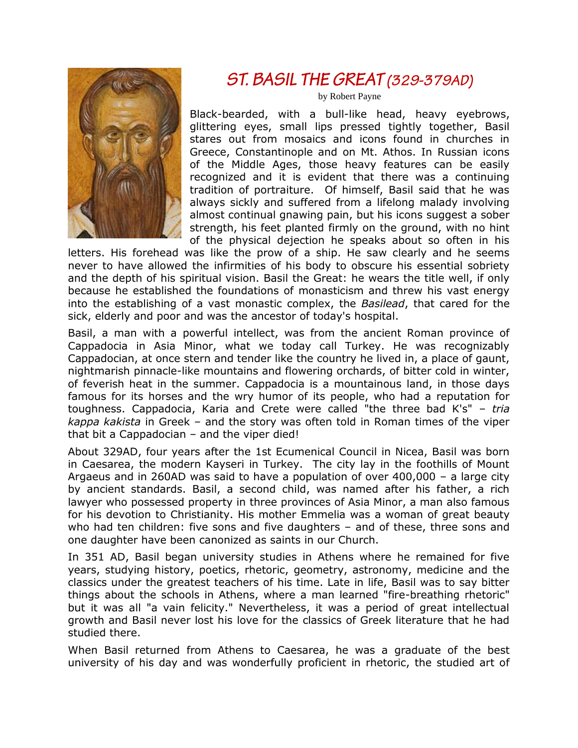

# ST. BASIL THE GREAT (329-379AD)

by Robert Payne

Black-bearded, with a bull-like head, heavy eyebrows, glittering eyes, small lips pressed tightly together, Basil stares out from mosaics and icons found in churches in Greece, Constantinople and on Mt. Athos. In Russian icons of the Middle Ages, those heavy features can be easily recognized and it is evident that there was a continuing tradition of portraiture. Of himself, Basil said that he was always sickly and suffered from a lifelong malady involving almost continual gnawing pain, but his icons suggest a sober strength, his feet planted firmly on the ground, with no hint of the physical dejection he speaks about so often in his

letters. His forehead was like the prow of a ship. He saw clearly and he seems never to have allowed the infirmities of his body to obscure his essential sobriety and the depth of his spiritual vision. Basil the Great: he wears the title well, if only because he established the foundations of monasticism and threw his vast energy into the establishing of a vast monastic complex, the *Basilead*, that cared for the sick, elderly and poor and was the ancestor of today's hospital.

Basil, a man with a powerful intellect, was from the ancient Roman province of Cappadocia in Asia Minor, what we today call Turkey. He was recognizably Cappadocian, at once stern and tender like the country he lived in, a place of gaunt, nightmarish pinnacle-like mountains and flowering orchards, of bitter cold in winter, of feverish heat in the summer. Cappadocia is a mountainous land, in those days famous for its horses and the wry humor of its people, who had a reputation for toughness. Cappadocia, Karia and Crete were called "the three bad K's" – *tria kappa kakista* in Greek – and the story was often told in Roman times of the viper that bit a Cappadocian – and the viper died!

About 329AD, four years after the 1st Ecumenical Council in Nicea, Basil was born in Caesarea, the modern Kayseri in Turkey. The city lay in the foothills of Mount Argaeus and in 260AD was said to have a population of over 400,000 – a large city by ancient standards. Basil, a second child, was named after his father, a rich lawyer who possessed property in three provinces of Asia Minor, a man also famous for his devotion to Christianity. His mother Emmelia was a woman of great beauty who had ten children: five sons and five daughters – and of these, three sons and one daughter have been canonized as saints in our Church.

In 351 AD, Basil began university studies in Athens where he remained for five years, studying history, poetics, rhetoric, geometry, astronomy, medicine and the classics under the greatest teachers of his time. Late in life, Basil was to say bitter things about the schools in Athens, where a man learned "fire-breathing rhetoric" but it was all "a vain felicity." Nevertheless, it was a period of great intellectual growth and Basil never lost his love for the classics of Greek literature that he had studied there.

When Basil returned from Athens to Caesarea, he was a graduate of the best university of his day and was wonderfully proficient in rhetoric, the studied art of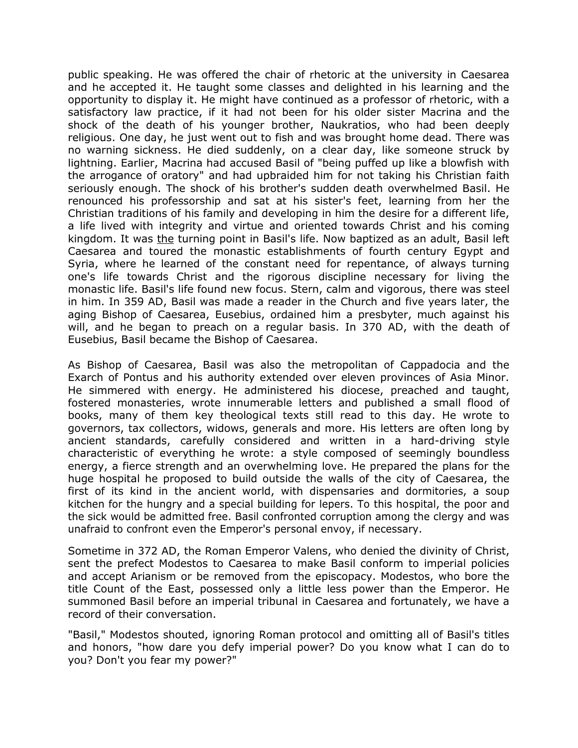public speaking. He was offered the chair of rhetoric at the university in Caesarea and he accepted it. He taught some classes and delighted in his learning and the opportunity to display it. He might have continued as a professor of rhetoric, with a satisfactory law practice, if it had not been for his older sister Macrina and the shock of the death of his younger brother, Naukratios, who had been deeply religious. One day, he just went out to fish and was brought home dead. There was no warning sickness. He died suddenly, on a clear day, like someone struck by lightning. Earlier, Macrina had accused Basil of "being puffed up like a blowfish with the arrogance of oratory" and had upbraided him for not taking his Christian faith seriously enough. The shock of his brother's sudden death overwhelmed Basil. He renounced his professorship and sat at his sister's feet, learning from her the Christian traditions of his family and developing in him the desire for a different life, a life lived with integrity and virtue and oriented towards Christ and his coming kingdom. It was the turning point in Basil's life. Now baptized as an adult, Basil left Caesarea and toured the monastic establishments of fourth century Egypt and Syria, where he learned of the constant need for repentance, of always turning one's life towards Christ and the rigorous discipline necessary for living the monastic life. Basil's life found new focus. Stern, calm and vigorous, there was steel in him. In 359 AD, Basil was made a reader in the Church and five years later, the aging Bishop of Caesarea, Eusebius, ordained him a presbyter, much against his will, and he began to preach on a regular basis. In 370 AD, with the death of Eusebius, Basil became the Bishop of Caesarea.

As Bishop of Caesarea, Basil was also the metropolitan of Cappadocia and the Exarch of Pontus and his authority extended over eleven provinces of Asia Minor. He simmered with energy. He administered his diocese, preached and taught, fostered monasteries, wrote innumerable letters and published a small flood of books, many of them key theological texts still read to this day. He wrote to governors, tax collectors, widows, generals and more. His letters are often long by ancient standards, carefully considered and written in a hard-driving style characteristic of everything he wrote: a style composed of seemingly boundless energy, a fierce strength and an overwhelming love. He prepared the plans for the huge hospital he proposed to build outside the walls of the city of Caesarea, the first of its kind in the ancient world, with dispensaries and dormitories, a soup kitchen for the hungry and a special building for lepers. To this hospital, the poor and the sick would be admitted free. Basil confronted corruption among the clergy and was unafraid to confront even the Emperor's personal envoy, if necessary.

Sometime in 372 AD, the Roman Emperor Valens, who denied the divinity of Christ, sent the prefect Modestos to Caesarea to make Basil conform to imperial policies and accept Arianism or be removed from the episcopacy. Modestos, who bore the title Count of the East, possessed only a little less power than the Emperor. He summoned Basil before an imperial tribunal in Caesarea and fortunately, we have a record of their conversation.

"Basil," Modestos shouted, ignoring Roman protocol and omitting all of Basil's titles and honors, "how dare you defy imperial power? Do you know what I can do to you? Don't you fear my power?"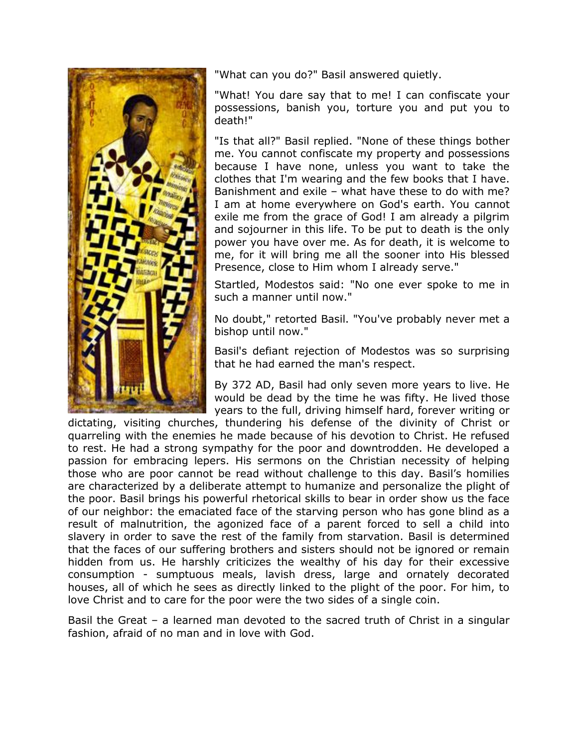

"What can you do?" Basil answered quietly.

"What! You dare say that to me! I can confiscate your possessions, banish you, torture you and put you to death!"

"Is that all?" Basil replied. "None of these things bother me. You cannot confiscate my property and possessions because I have none, unless you want to take the clothes that I'm wearing and the few books that I have. Banishment and exile – what have these to do with me? I am at home everywhere on God's earth. You cannot exile me from the grace of God! I am already a pilgrim and sojourner in this life. To be put to death is the only power you have over me. As for death, it is welcome to me, for it will bring me all the sooner into His blessed Presence, close to Him whom I already serve."

Startled, Modestos said: "No one ever spoke to me in such a manner until now."

No doubt," retorted Basil. "You've probably never met a bishop until now."

Basil's defiant rejection of Modestos was so surprising that he had earned the man's respect.

By 372 AD, Basil had only seven more years to live. He would be dead by the time he was fifty. He lived those years to the full, driving himself hard, forever writing or

dictating, visiting churches, thundering his defense of the divinity of Christ or quarreling with the enemies he made because of his devotion to Christ. He refused to rest. He had a strong sympathy for the poor and downtrodden. He developed a passion for embracing lepers. His sermons on the Christian necessity of helping those who are poor cannot be read without challenge to this day. Basil's homilies are characterized by a deliberate attempt to humanize and personalize the plight of the poor. Basil brings his powerful rhetorical skills to bear in order show us the face of our neighbor: the emaciated face of the starving person who has gone blind as a result of malnutrition, the agonized face of a parent forced to sell a child into slavery in order to save the rest of the family from starvation. Basil is determined that the faces of our suffering brothers and sisters should not be ignored or remain hidden from us. He harshly criticizes the wealthy of his day for their excessive consumption - sumptuous meals, lavish dress, large and ornately decorated houses, all of which he sees as directly linked to the plight of the poor. For him, to love Christ and to care for the poor were the two sides of a single coin.

Basil the Great – a learned man devoted to the sacred truth of Christ in a singular fashion, afraid of no man and in love with God.